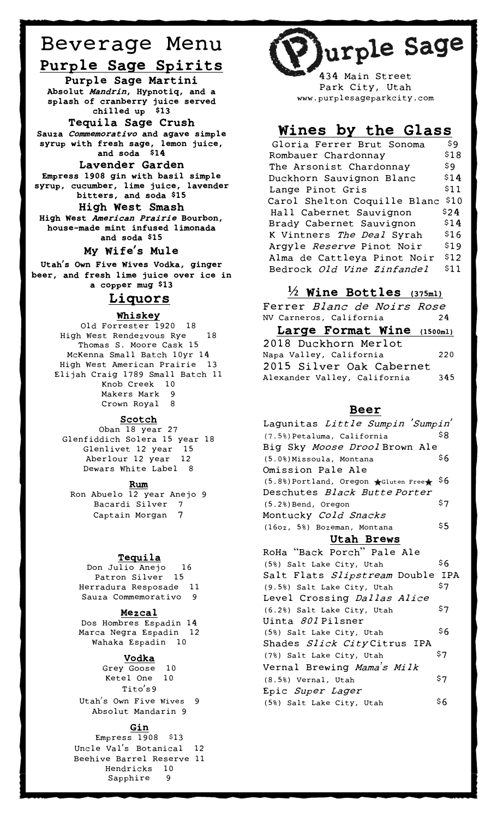## Beverage Menu Purple Sage Spirits

Purple Sage Martini Absolut Mandrin, Hypnotiq, and a splash of cranberry juice served chilled up \$13 Tequila Sage Crush

Sauza Commemorativo and agave simple syrup with fresh sage, lemon juice, and soda \$14

#### Lavender Garden

Empress 1908 gin with basil simple syrup, cucumber, lime juice, lavender bitters, and soda \$15 High West Smash

High West American Prairie Bourbon, house-made mint infused limonada and soda \$15

#### My Wife's Mule

Utah's Own Five Wives Vodka, ginger beer, and fresh lime juice over ice in a copper mug \$13

#### Liquors

#### Whiskey

Old Forrester 1920 18 Old Forrester 1920 18<br>High West Rendezvous Rye 18 Thomas S. Moore Cask 15 Thomas S. Moore Cask 15<br>McKenna Small Batch 10yr 14 High West American Prairie 13 Elijah Craig 1789 Small Batch 11 Knob Creek 10 Makers Mark 9 Crown Royal 8

#### Scotch

Oban 18 year 27 Glenfiddich Solera 15 year 18 Glenlivet 12 year 15 Aberlour 12 year 12 Dewars White Label 8

#### Rum

Ron Abuelo  $\overline{12}$  year Anejo 9 Bacardi Silver 7 Captain Morgan 7

#### **Tequila**

Don Julio Anejo 16 Patron Silver 15 Herradura Resposade 11 Sauza Commemorativo 9

#### Mezcal

Dos Hombres Espadin 14 Marca Negra Espadin 12 Wahaka Espadin 10

#### Vodka

Grey Goose 10 Ketel One 10 Tito's9 Utah's Own Five Wives 9 Absolut Mandarin 9

#### Gin

Empress 1908 \$13 Uncle Val's Botanical 12 Beehive Barrel Reserve 11 Hendricks 10 Sapphire 9



434 Main Street Park City, Utah www.purplesageparkcity.com

### Wines by the Glass

| Gloria Ferrer Brut Sonoma    | \$9  |
|------------------------------|------|
| Rombauer Chardonnay          | \$18 |
| The Arsonist Chardonnay      | \$9  |
| Duckhorn Sauvignon Blanc     | \$14 |
| Lange Pinot Gris             | \$11 |
| Carol Shelton Coquille Blanc | \$10 |
|                              |      |
| Hall Cabernet Sauvignon      | \$24 |
| Brady Cabernet Sauvignon     | \$14 |
| K Vintners The Deal Syrah    | \$16 |
| Argyle Reserve Pinot Noir    | \$19 |
| Alma de Cattleya Pinot Noir  | \$12 |

#### **½** Wine Bottles (375ml)

Ferrer Blanc de Noirs Rose NV Carneros, California 24 Large Format Wine (1500ml) 2018 Duckhorn Merlot Napa Valley, California 220 2015 Silver Oak Cabernet Alexander Valley, California 345

#### Beer

| Lagunitas <i>Little Sumpin 'Sumpin'</i>                        |     |
|----------------------------------------------------------------|-----|
|                                                                |     |
| (7.5%) Petaluma, California                                    | \$8 |
| Big Sky <i>Moose Drool</i> Brown Ale                           |     |
| (5.0%) Missoula, Montana                                       | \$6 |
| Omission Pale Ale                                              |     |
| $(5.8%)$ Portland, Oregon $\bigstar$ Gluten Free $\bigstar$ 56 |     |
| Deschutes <i>Black ButtePorter</i>                             |     |
| (5.2%) Bend, Oregon                                            | \$7 |
| Montucky <i>Cold Snacks</i>                                    |     |
| (16oz, 5%) Bozeman, Montana                                    | \$5 |
| Utah Brews                                                     |     |
|                                                                |     |
| RoHa"Back Porch" Pale Ale                                      |     |
| (5%) Salt Lake City, Utah                                      | \$6 |
| Salt Flats Slipstream Double IPA                               |     |
| (9.5%) Salt Lake City, Utah                                    | \$7 |
| Level Crossing <i>Dallas Alice</i>                             |     |
| (6.2%) Salt Lake City, Utah                                    | \$7 |
| Uinta <i>801</i> Pilsner                                       |     |
| (5%) Salt Lake City, Utah                                      | \$6 |
| Shades Slick CityCitrus IPA                                    |     |
|                                                                | \$7 |
| (7%) Salt Lake City, Utah                                      |     |
| Vernal Brewing <i>Mama<sup>'</sup>s Milk</i>                   |     |
| (8.5%) Vernal, Utah                                            | \$7 |
| Epic <i>Super Lager</i>                                        |     |
| (5%) Salt Lake City, Utah                                      | \$6 |